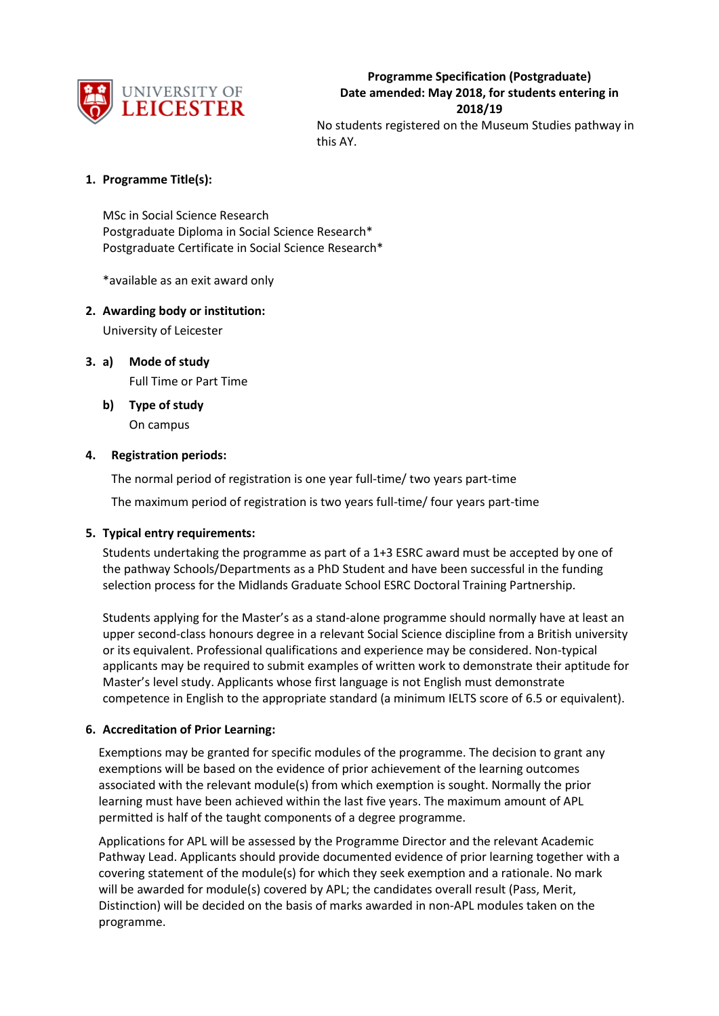

### **1. Programme Title(s):**

MSc in Social Science Research Postgraduate Diploma in Social Science Research\* Postgraduate Certificate in Social Science Research\*

\*available as an exit award only

#### **2. Awarding body or institution:**

University of Leicester

**3. a) Mode of study** Full Time or Part Time

> **b) Type of study** On campus

#### **4. Registration periods:**

The normal period of registration is one year full-time/ two years part-time

The maximum period of registration is two years full-time/ four years part-time

#### **5. Typical entry requirements:**

Students undertaking the programme as part of a 1+3 ESRC award must be accepted by one of the pathway Schools/Departments as a PhD Student and have been successful in the funding selection process for the Midlands Graduate School ESRC Doctoral Training Partnership.

Students applying for the Master's as a stand-alone programme should normally have at least an upper second-class honours degree in a relevant Social Science discipline from a British university or its equivalent. Professional qualifications and experience may be considered. Non-typical applicants may be required to submit examples of written work to demonstrate their aptitude for Master's level study. Applicants whose first language is not English must demonstrate competence in English to the appropriate standard (a minimum IELTS score of 6.5 or equivalent).

#### **6. Accreditation of Prior Learning:**

Exemptions may be granted for specific modules of the programme. The decision to grant any exemptions will be based on the evidence of prior achievement of the learning outcomes associated with the relevant module(s) from which exemption is sought. Normally the prior learning must have been achieved within the last five years. The maximum amount of APL permitted is half of the taught components of a degree programme.

Applications for APL will be assessed by the Programme Director and the relevant Academic Pathway Lead. Applicants should provide documented evidence of prior learning together with a covering statement of the module(s) for which they seek exemption and a rationale. No mark will be awarded for module(s) covered by APL; the candidates overall result (Pass, Merit, Distinction) will be decided on the basis of marks awarded in non-APL modules taken on the programme.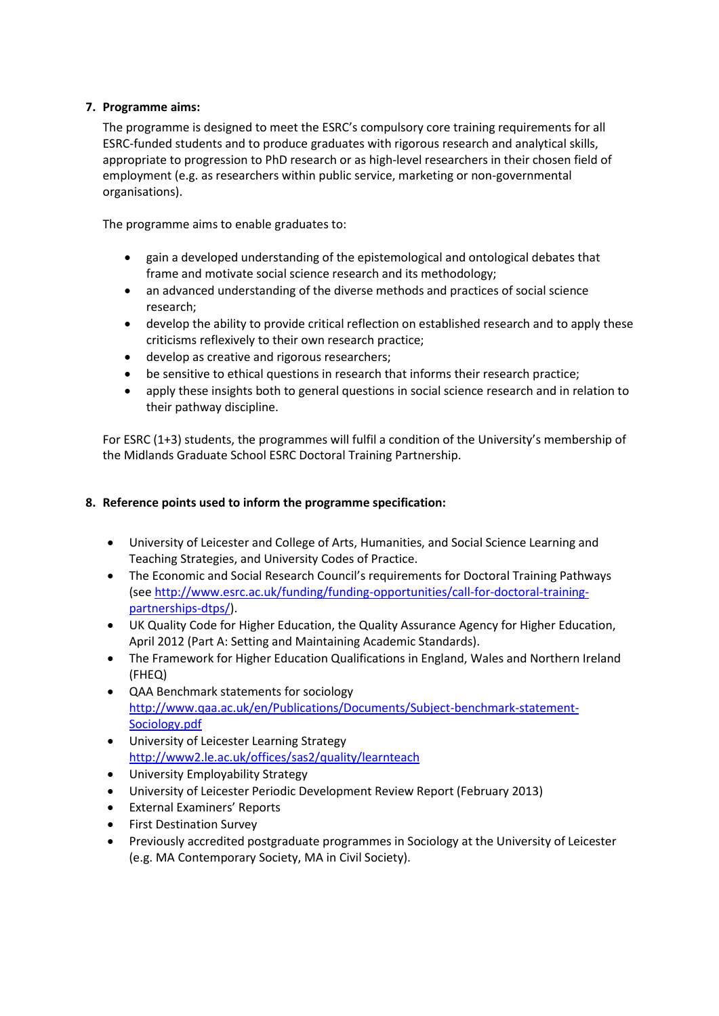## **7. Programme aims:**

The programme is designed to meet the ESRC's compulsory core training requirements for all ESRC-funded students and to produce graduates with rigorous research and analytical skills, appropriate to progression to PhD research or as high-level researchers in their chosen field of employment (e.g. as researchers within public service, marketing or non-governmental organisations).

The programme aims to enable graduates to:

- gain a developed understanding of the epistemological and ontological debates that frame and motivate social science research and its methodology;
- an advanced understanding of the diverse methods and practices of social science research;
- develop the ability to provide critical reflection on established research and to apply these criticisms reflexively to their own research practice;
- develop as creative and rigorous researchers;
- be sensitive to ethical questions in research that informs their research practice;
- apply these insights both to general questions in social science research and in relation to their pathway discipline.

For ESRC (1+3) students, the programmes will fulfil a condition of the University's membership of the Midlands Graduate School ESRC Doctoral Training Partnership.

## **8. Reference points used to inform the programme specification:**

- University of Leicester and College of Arts, Humanities, and Social Science Learning and Teaching Strategies, and University Codes of Practice.
- The Economic and Social Research Council's requirements for Doctoral Training Pathways (see [http://www.esrc.ac.uk/funding/funding-opportunities/call-for-doctoral-training](http://www.esrc.ac.uk/funding/funding-opportunities/call-for-doctoral-training-partnerships-dtps/)[partnerships-dtps/\)](http://www.esrc.ac.uk/funding/funding-opportunities/call-for-doctoral-training-partnerships-dtps/).
- UK Quality Code for Higher Education, the Quality Assurance Agency for Higher Education, April 2012 (Part A: Setting and Maintaining Academic Standards).
- The Framework for Higher Education Qualifications in England, Wales and Northern Ireland (FHEQ)
- QAA Benchmark statements for sociology [http://www.qaa.ac.uk/en/Publications/Documents/Subject-benchmark-statement-](http://www.qaa.ac.uk/en/Publications/Documents/Subject-benchmark-statement-Sociology.pdf)[Sociology.pdf](http://www.qaa.ac.uk/en/Publications/Documents/Subject-benchmark-statement-Sociology.pdf)
- University of Leicester Learning Strategy <http://www2.le.ac.uk/offices/sas2/quality/learnteach>
- University Employability Strategy
- University of Leicester Periodic Development Review Report (February 2013)
- External Examiners' Reports
- **•** First Destination Survey
- Previously accredited postgraduate programmes in Sociology at the University of Leicester (e.g. MA Contemporary Society, MA in Civil Society).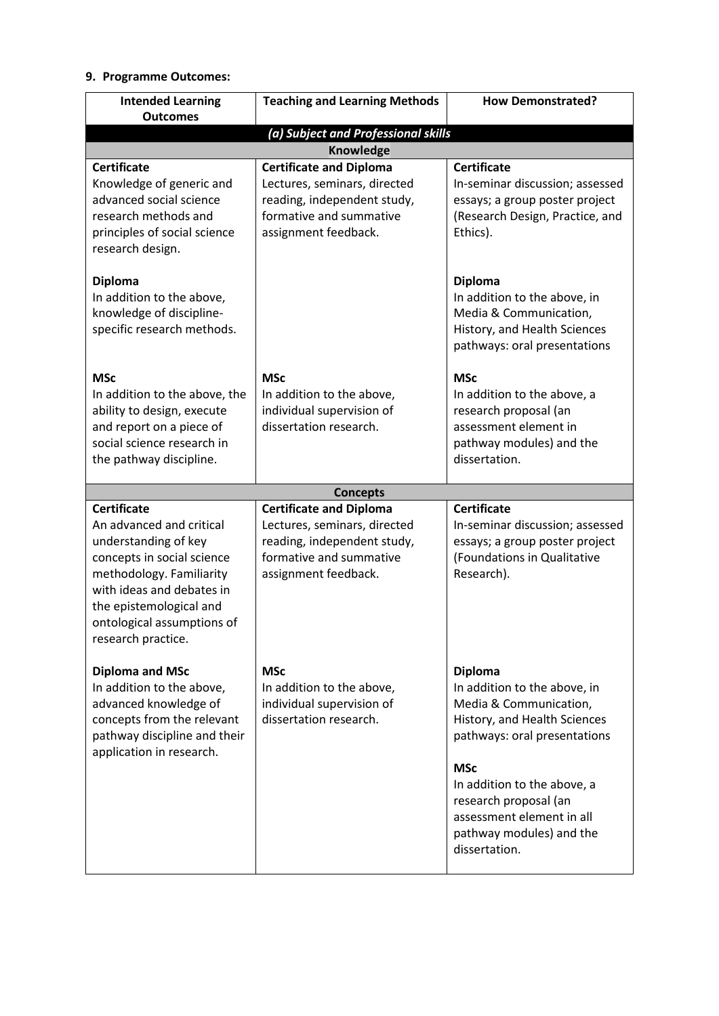## **9. Programme Outcomes:**

| <b>Intended Learning</b><br><b>Outcomes</b>                                                                                                                                                                                                  | <b>Teaching and Learning Methods</b>                                                                                                             | <b>How Demonstrated?</b>                                                                                                                                                                                                                                                                 |  |
|----------------------------------------------------------------------------------------------------------------------------------------------------------------------------------------------------------------------------------------------|--------------------------------------------------------------------------------------------------------------------------------------------------|------------------------------------------------------------------------------------------------------------------------------------------------------------------------------------------------------------------------------------------------------------------------------------------|--|
|                                                                                                                                                                                                                                              | (a) Subject and Professional skills                                                                                                              |                                                                                                                                                                                                                                                                                          |  |
| <b>Knowledge</b>                                                                                                                                                                                                                             |                                                                                                                                                  |                                                                                                                                                                                                                                                                                          |  |
| <b>Certificate</b><br>Knowledge of generic and<br>advanced social science<br>research methods and<br>principles of social science<br>research design.                                                                                        | <b>Certificate and Diploma</b><br>Lectures, seminars, directed<br>reading, independent study,<br>formative and summative<br>assignment feedback. | <b>Certificate</b><br>In-seminar discussion; assessed<br>essays; a group poster project<br>(Research Design, Practice, and<br>Ethics).                                                                                                                                                   |  |
| <b>Diploma</b><br>In addition to the above,<br>knowledge of discipline-<br>specific research methods.                                                                                                                                        |                                                                                                                                                  | <b>Diploma</b><br>In addition to the above, in<br>Media & Communication,<br>History, and Health Sciences<br>pathways: oral presentations                                                                                                                                                 |  |
| <b>MSc</b><br>In addition to the above, the<br>ability to design, execute<br>and report on a piece of<br>social science research in<br>the pathway discipline.                                                                               | <b>MSc</b><br>In addition to the above,<br>individual supervision of<br>dissertation research.                                                   | <b>MSc</b><br>In addition to the above, a<br>research proposal (an<br>assessment element in<br>pathway modules) and the<br>dissertation.                                                                                                                                                 |  |
|                                                                                                                                                                                                                                              | <b>Concepts</b>                                                                                                                                  |                                                                                                                                                                                                                                                                                          |  |
| <b>Certificate</b><br>An advanced and critical<br>understanding of key<br>concepts in social science<br>methodology. Familiarity<br>with ideas and debates in<br>the epistemological and<br>ontological assumptions of<br>research practice. | <b>Certificate and Diploma</b><br>Lectures, seminars, directed<br>reading, independent study,<br>formative and summative<br>assignment feedback. | <b>Certificate</b><br>In-seminar discussion; assessed<br>essays; a group poster project<br>(Foundations in Qualitative<br>Research).                                                                                                                                                     |  |
| <b>Diploma and MSc</b><br>In addition to the above,<br>advanced knowledge of<br>concepts from the relevant<br>pathway discipline and their<br>application in research.                                                                       | <b>MSc</b><br>In addition to the above,<br>individual supervision of<br>dissertation research.                                                   | <b>Diploma</b><br>In addition to the above, in<br>Media & Communication,<br>History, and Health Sciences<br>pathways: oral presentations<br><b>MSc</b><br>In addition to the above, a<br>research proposal (an<br>assessment element in all<br>pathway modules) and the<br>dissertation. |  |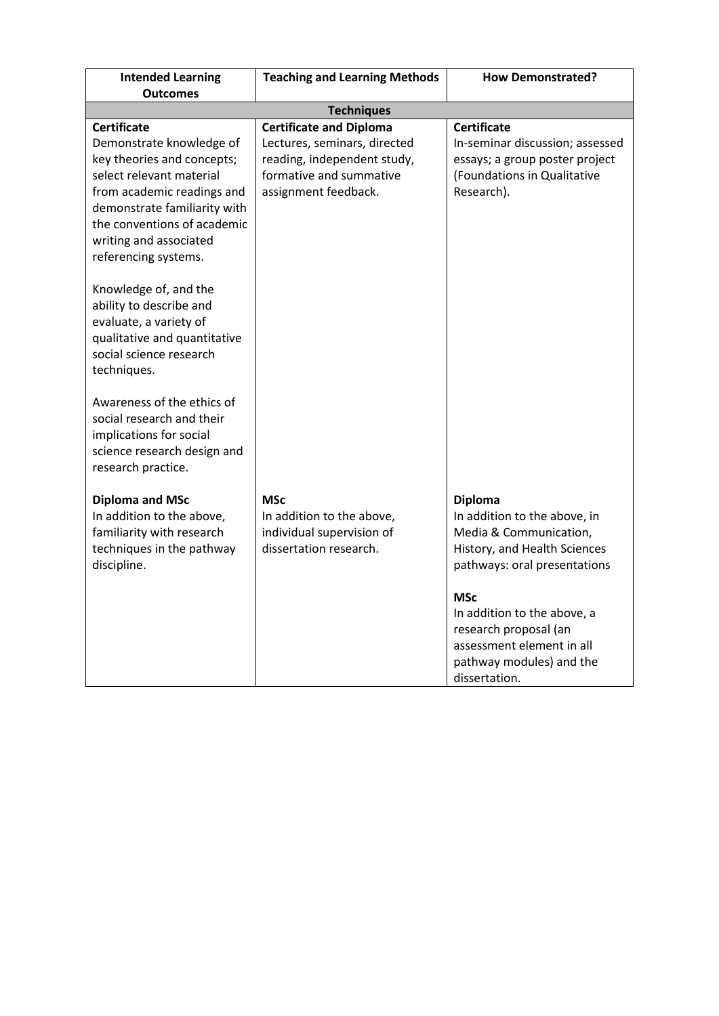| <b>Intended Learning</b><br><b>Outcomes</b>                                                                                                                                                                                                                               | <b>Teaching and Learning Methods</b>                                                                                                             | <b>How Demonstrated?</b>                                                                                                                     |  |
|---------------------------------------------------------------------------------------------------------------------------------------------------------------------------------------------------------------------------------------------------------------------------|--------------------------------------------------------------------------------------------------------------------------------------------------|----------------------------------------------------------------------------------------------------------------------------------------------|--|
| <b>Techniques</b>                                                                                                                                                                                                                                                         |                                                                                                                                                  |                                                                                                                                              |  |
| <b>Certificate</b><br>Demonstrate knowledge of<br>key theories and concepts;<br>select relevant material<br>from academic readings and<br>demonstrate familiarity with<br>the conventions of academic<br>writing and associated<br>referencing systems.                   | <b>Certificate and Diploma</b><br>Lectures, seminars, directed<br>reading, independent study,<br>formative and summative<br>assignment feedback. | <b>Certificate</b><br>In-seminar discussion; assessed<br>essays; a group poster project<br>(Foundations in Qualitative<br>Research).         |  |
| Knowledge of, and the<br>ability to describe and<br>evaluate, a variety of<br>qualitative and quantitative<br>social science research<br>techniques.<br>Awareness of the ethics of<br>social research and their<br>implications for social<br>science research design and |                                                                                                                                                  |                                                                                                                                              |  |
| research practice.<br><b>Diploma and MSc</b><br>In addition to the above,<br>familiarity with research<br>techniques in the pathway<br>discipline.                                                                                                                        | <b>MSc</b><br>In addition to the above,<br>individual supervision of<br>dissertation research.                                                   | <b>Diploma</b><br>In addition to the above, in<br>Media & Communication,<br>History, and Health Sciences<br>pathways: oral presentations     |  |
|                                                                                                                                                                                                                                                                           |                                                                                                                                                  | <b>MSc</b><br>In addition to the above, a<br>research proposal (an<br>assessment element in all<br>pathway modules) and the<br>dissertation. |  |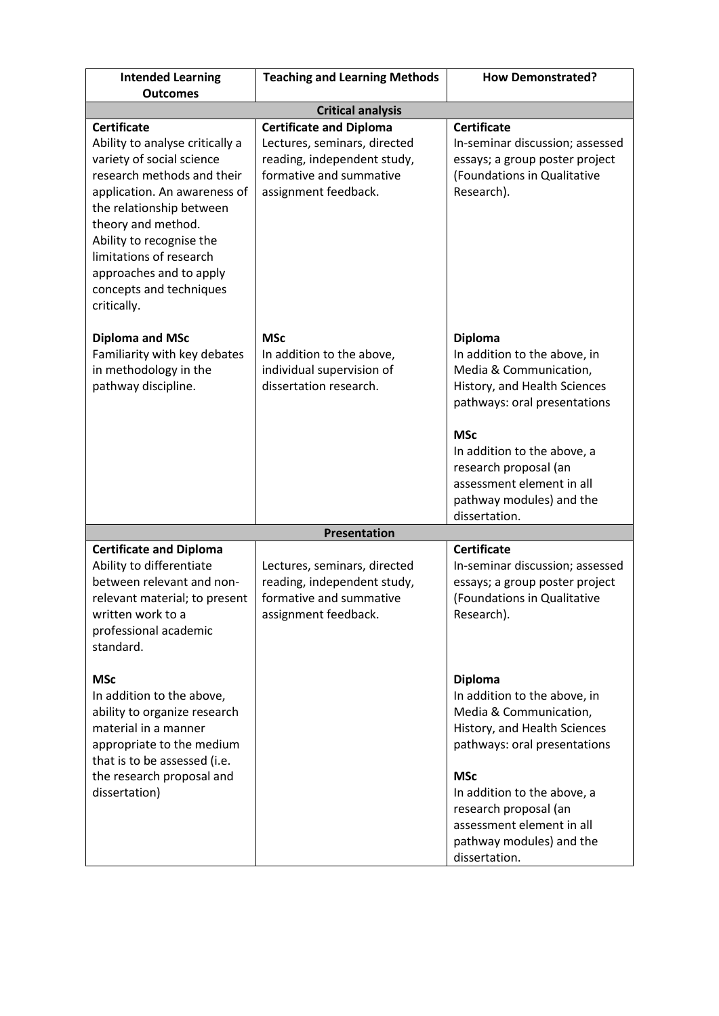| <b>Intended Learning</b><br><b>Outcomes</b>                                                                                                                                                                                                                                                                                    | <b>Teaching and Learning Methods</b>                                                                                                             | <b>How Demonstrated?</b>                                                                                                                                                                                                                                                                 |  |
|--------------------------------------------------------------------------------------------------------------------------------------------------------------------------------------------------------------------------------------------------------------------------------------------------------------------------------|--------------------------------------------------------------------------------------------------------------------------------------------------|------------------------------------------------------------------------------------------------------------------------------------------------------------------------------------------------------------------------------------------------------------------------------------------|--|
| <b>Critical analysis</b>                                                                                                                                                                                                                                                                                                       |                                                                                                                                                  |                                                                                                                                                                                                                                                                                          |  |
| <b>Certificate</b><br>Ability to analyse critically a<br>variety of social science<br>research methods and their<br>application. An awareness of<br>the relationship between<br>theory and method.<br>Ability to recognise the<br>limitations of research<br>approaches and to apply<br>concepts and techniques<br>critically. | <b>Certificate and Diploma</b><br>Lectures, seminars, directed<br>reading, independent study,<br>formative and summative<br>assignment feedback. | <b>Certificate</b><br>In-seminar discussion; assessed<br>essays; a group poster project<br>(Foundations in Qualitative<br>Research).                                                                                                                                                     |  |
| <b>Diploma and MSc</b><br>Familiarity with key debates<br>in methodology in the<br>pathway discipline.                                                                                                                                                                                                                         | <b>MSc</b><br>In addition to the above,<br>individual supervision of<br>dissertation research.                                                   | <b>Diploma</b><br>In addition to the above, in<br>Media & Communication,<br>History, and Health Sciences<br>pathways: oral presentations<br><b>MSc</b><br>In addition to the above, a<br>research proposal (an<br>assessment element in all<br>pathway modules) and the<br>dissertation. |  |
|                                                                                                                                                                                                                                                                                                                                | Presentation                                                                                                                                     |                                                                                                                                                                                                                                                                                          |  |
| <b>Certificate and Diploma</b><br>Ability to differentiate<br>between relevant and non-<br>relevant material; to present<br>written work to a<br>professional academic<br>standard.                                                                                                                                            | Lectures, seminars, directed<br>reading, independent study,<br>formative and summative<br>assignment feedback.                                   | <b>Certificate</b><br>In-seminar discussion; assessed<br>essays; a group poster project<br>(Foundations in Qualitative<br>Research).                                                                                                                                                     |  |
| <b>MSc</b><br>In addition to the above,<br>ability to organize research<br>material in a manner<br>appropriate to the medium<br>that is to be assessed (i.e.<br>the research proposal and<br>dissertation)                                                                                                                     |                                                                                                                                                  | <b>Diploma</b><br>In addition to the above, in<br>Media & Communication,<br>History, and Health Sciences<br>pathways: oral presentations<br><b>MSc</b><br>In addition to the above, a<br>research proposal (an<br>assessment element in all<br>pathway modules) and the<br>dissertation. |  |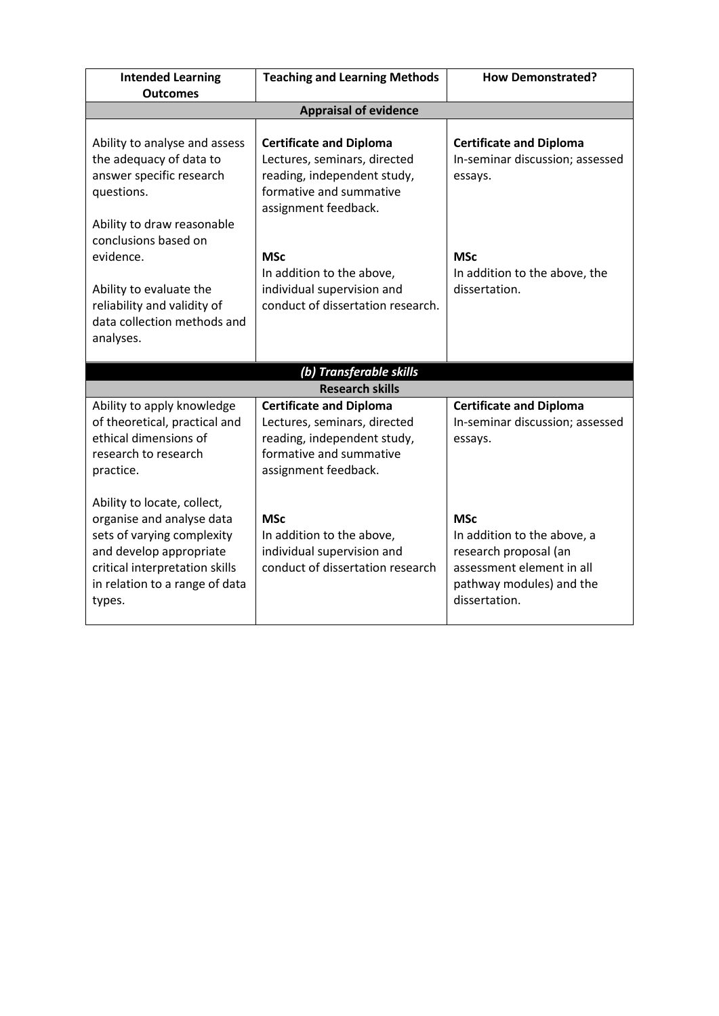| <b>Intended Learning</b><br><b>Outcomes</b>                                                                                                                                                     | <b>Teaching and Learning Methods</b>                                                                                                             | <b>How Demonstrated?</b>                                                                                                                     |  |  |
|-------------------------------------------------------------------------------------------------------------------------------------------------------------------------------------------------|--------------------------------------------------------------------------------------------------------------------------------------------------|----------------------------------------------------------------------------------------------------------------------------------------------|--|--|
| <b>Appraisal of evidence</b>                                                                                                                                                                    |                                                                                                                                                  |                                                                                                                                              |  |  |
|                                                                                                                                                                                                 |                                                                                                                                                  |                                                                                                                                              |  |  |
| Ability to analyse and assess<br>the adequacy of data to<br>answer specific research<br>questions.<br>Ability to draw reasonable<br>conclusions based on                                        | <b>Certificate and Diploma</b><br>Lectures, seminars, directed<br>reading, independent study,<br>formative and summative<br>assignment feedback. | <b>Certificate and Diploma</b><br>In-seminar discussion; assessed<br>essays.                                                                 |  |  |
| evidence.<br>Ability to evaluate the<br>reliability and validity of<br>data collection methods and<br>analyses.                                                                                 | <b>MSc</b><br>In addition to the above,<br>individual supervision and<br>conduct of dissertation research.                                       | <b>MSc</b><br>In addition to the above, the<br>dissertation.                                                                                 |  |  |
|                                                                                                                                                                                                 | (b) Transferable skills                                                                                                                          |                                                                                                                                              |  |  |
|                                                                                                                                                                                                 | <b>Research skills</b>                                                                                                                           |                                                                                                                                              |  |  |
| Ability to apply knowledge<br>of theoretical, practical and<br>ethical dimensions of<br>research to research<br>practice.                                                                       | <b>Certificate and Diploma</b><br>Lectures, seminars, directed<br>reading, independent study,<br>formative and summative<br>assignment feedback. | <b>Certificate and Diploma</b><br>In-seminar discussion; assessed<br>essays.                                                                 |  |  |
| Ability to locate, collect,<br>organise and analyse data<br>sets of varying complexity<br>and develop appropriate<br>critical interpretation skills<br>in relation to a range of data<br>types. | <b>MSc</b><br>In addition to the above,<br>individual supervision and<br>conduct of dissertation research                                        | <b>MSc</b><br>In addition to the above, a<br>research proposal (an<br>assessment element in all<br>pathway modules) and the<br>dissertation. |  |  |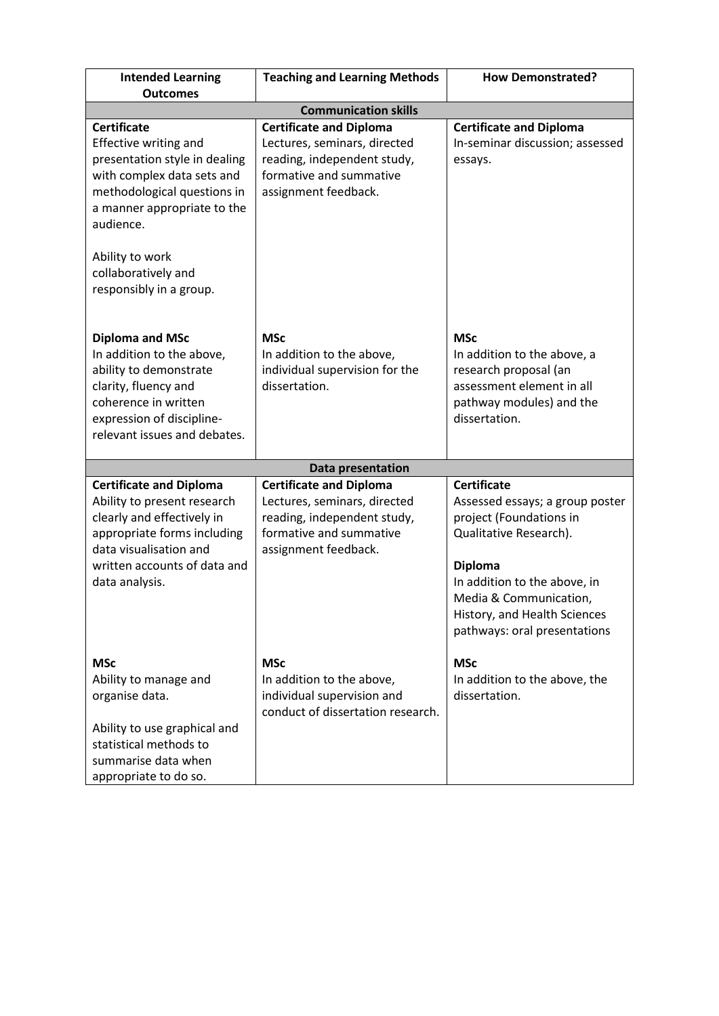| <b>Intended Learning</b><br><b>Outcomes</b>                                                                                                                                                            | <b>Teaching and Learning Methods</b>                                                                                                             | <b>How Demonstrated?</b>                                                                                                                                                                                                                               |
|--------------------------------------------------------------------------------------------------------------------------------------------------------------------------------------------------------|--------------------------------------------------------------------------------------------------------------------------------------------------|--------------------------------------------------------------------------------------------------------------------------------------------------------------------------------------------------------------------------------------------------------|
|                                                                                                                                                                                                        | <b>Communication skills</b>                                                                                                                      |                                                                                                                                                                                                                                                        |
| <b>Certificate</b><br><b>Effective writing and</b><br>presentation style in dealing<br>with complex data sets and<br>methodological questions in<br>a manner appropriate to the<br>audience.           | <b>Certificate and Diploma</b><br>Lectures, seminars, directed<br>reading, independent study,<br>formative and summative<br>assignment feedback. | <b>Certificate and Diploma</b><br>In-seminar discussion; assessed<br>essays.                                                                                                                                                                           |
| Ability to work<br>collaboratively and<br>responsibly in a group.                                                                                                                                      |                                                                                                                                                  |                                                                                                                                                                                                                                                        |
| <b>Diploma and MSc</b><br>In addition to the above,<br>ability to demonstrate<br>clarity, fluency and<br>coherence in written<br>expression of discipline-<br>relevant issues and debates.             | <b>MSc</b><br>In addition to the above,<br>individual supervision for the<br>dissertation.                                                       | <b>MSc</b><br>In addition to the above, a<br>research proposal (an<br>assessment element in all<br>pathway modules) and the<br>dissertation.                                                                                                           |
|                                                                                                                                                                                                        | Data presentation                                                                                                                                |                                                                                                                                                                                                                                                        |
| <b>Certificate and Diploma</b><br>Ability to present research<br>clearly and effectively in<br>appropriate forms including<br>data visualisation and<br>written accounts of data and<br>data analysis. | <b>Certificate and Diploma</b><br>Lectures, seminars, directed<br>reading, independent study,<br>formative and summative<br>assignment feedback. | <b>Certificate</b><br>Assessed essays; a group poster<br>project (Foundations in<br>Qualitative Research).<br><b>Diploma</b><br>In addition to the above, in<br>Media & Communication,<br>History, and Health Sciences<br>pathways: oral presentations |
| <b>MSc</b><br>Ability to manage and<br>organise data.<br>Ability to use graphical and<br>statistical methods to<br>summarise data when<br>appropriate to do so.                                        | <b>MSc</b><br>In addition to the above,<br>individual supervision and<br>conduct of dissertation research.                                       | <b>MSc</b><br>In addition to the above, the<br>dissertation.                                                                                                                                                                                           |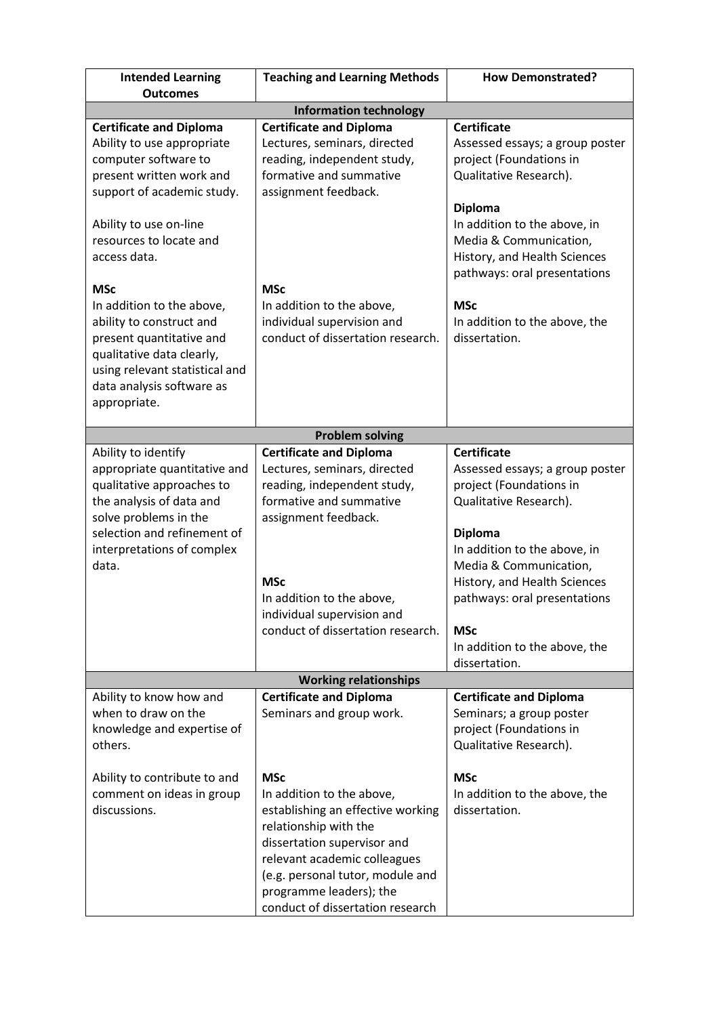| <b>Intended Learning</b><br><b>Outcomes</b>                                                                                                                                                   | <b>Teaching and Learning Methods</b>                                                                                                                                                                                                                                    | <b>How Demonstrated?</b>                                                                                                                 |  |
|-----------------------------------------------------------------------------------------------------------------------------------------------------------------------------------------------|-------------------------------------------------------------------------------------------------------------------------------------------------------------------------------------------------------------------------------------------------------------------------|------------------------------------------------------------------------------------------------------------------------------------------|--|
| <b>Information technology</b>                                                                                                                                                                 |                                                                                                                                                                                                                                                                         |                                                                                                                                          |  |
| <b>Certificate and Diploma</b>                                                                                                                                                                | <b>Certificate and Diploma</b>                                                                                                                                                                                                                                          | <b>Certificate</b>                                                                                                                       |  |
| Ability to use appropriate<br>computer software to<br>present written work and<br>support of academic study.                                                                                  | Lectures, seminars, directed<br>reading, independent study,<br>formative and summative<br>assignment feedback.                                                                                                                                                          | Assessed essays; a group poster<br>project (Foundations in<br>Qualitative Research).                                                     |  |
| Ability to use on-line<br>resources to locate and<br>access data.                                                                                                                             |                                                                                                                                                                                                                                                                         | <b>Diploma</b><br>In addition to the above, in<br>Media & Communication,<br>History, and Health Sciences<br>pathways: oral presentations |  |
| <b>MSc</b>                                                                                                                                                                                    | <b>MSc</b>                                                                                                                                                                                                                                                              |                                                                                                                                          |  |
| In addition to the above,<br>ability to construct and<br>present quantitative and<br>qualitative data clearly,<br>using relevant statistical and<br>data analysis software as<br>appropriate. | In addition to the above,<br>individual supervision and<br>conduct of dissertation research.                                                                                                                                                                            | <b>MSc</b><br>In addition to the above, the<br>dissertation.                                                                             |  |
|                                                                                                                                                                                               | <b>Problem solving</b>                                                                                                                                                                                                                                                  |                                                                                                                                          |  |
| Ability to identify                                                                                                                                                                           | <b>Certificate and Diploma</b>                                                                                                                                                                                                                                          | <b>Certificate</b>                                                                                                                       |  |
| appropriate quantitative and<br>qualitative approaches to<br>the analysis of data and<br>solve problems in the                                                                                | Lectures, seminars, directed<br>reading, independent study,<br>formative and summative<br>assignment feedback.                                                                                                                                                          | Assessed essays; a group poster<br>project (Foundations in<br>Qualitative Research).                                                     |  |
| selection and refinement of<br>interpretations of complex<br>data.                                                                                                                            | <b>MSc</b><br>In addition to the above,<br>individual supervision and                                                                                                                                                                                                   | <b>Diploma</b><br>In addition to the above, in<br>Media & Communication,<br>History, and Health Sciences<br>pathways: oral presentations |  |
|                                                                                                                                                                                               | conduct of dissertation research.                                                                                                                                                                                                                                       | <b>MSc</b><br>In addition to the above, the<br>dissertation.                                                                             |  |
|                                                                                                                                                                                               | <b>Working relationships</b>                                                                                                                                                                                                                                            |                                                                                                                                          |  |
| Ability to know how and<br>when to draw on the<br>knowledge and expertise of<br>others.                                                                                                       | <b>Certificate and Diploma</b><br>Seminars and group work.                                                                                                                                                                                                              | <b>Certificate and Diploma</b><br>Seminars; a group poster<br>project (Foundations in<br>Qualitative Research).                          |  |
| Ability to contribute to and<br>comment on ideas in group<br>discussions.                                                                                                                     | <b>MSc</b><br>In addition to the above,<br>establishing an effective working<br>relationship with the<br>dissertation supervisor and<br>relevant academic colleagues<br>(e.g. personal tutor, module and<br>programme leaders); the<br>conduct of dissertation research | <b>MSc</b><br>In addition to the above, the<br>dissertation.                                                                             |  |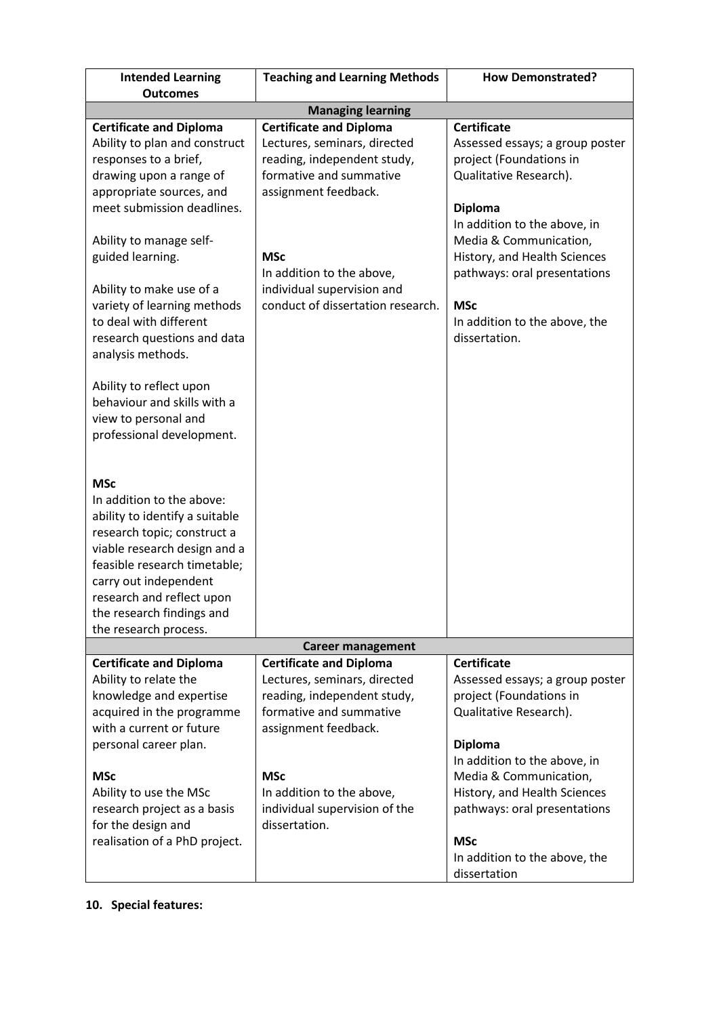| <b>Intended Learning</b><br><b>Outcomes</b>                                                                                                                                                                                                                                                                                                                                                                                                                                          | <b>Teaching and Learning Methods</b>                                                                                                                                                                                                                           | <b>How Demonstrated?</b>                                                                                                                                                                                                                                                                                               |  |
|--------------------------------------------------------------------------------------------------------------------------------------------------------------------------------------------------------------------------------------------------------------------------------------------------------------------------------------------------------------------------------------------------------------------------------------------------------------------------------------|----------------------------------------------------------------------------------------------------------------------------------------------------------------------------------------------------------------------------------------------------------------|------------------------------------------------------------------------------------------------------------------------------------------------------------------------------------------------------------------------------------------------------------------------------------------------------------------------|--|
| <b>Managing learning</b>                                                                                                                                                                                                                                                                                                                                                                                                                                                             |                                                                                                                                                                                                                                                                |                                                                                                                                                                                                                                                                                                                        |  |
| <b>Certificate and Diploma</b><br>Ability to plan and construct<br>responses to a brief,<br>drawing upon a range of<br>appropriate sources, and<br>meet submission deadlines.<br>Ability to manage self-<br>guided learning.<br>Ability to make use of a<br>variety of learning methods<br>to deal with different<br>research questions and data<br>analysis methods.<br>Ability to reflect upon<br>behaviour and skills with a<br>view to personal and<br>professional development. | <b>Certificate and Diploma</b><br>Lectures, seminars, directed<br>reading, independent study,<br>formative and summative<br>assignment feedback.<br><b>MSc</b><br>In addition to the above,<br>individual supervision and<br>conduct of dissertation research. | <b>Certificate</b><br>Assessed essays; a group poster<br>project (Foundations in<br>Qualitative Research).<br><b>Diploma</b><br>In addition to the above, in<br>Media & Communication,<br>History, and Health Sciences<br>pathways: oral presentations<br><b>MSc</b><br>In addition to the above, the<br>dissertation. |  |
| <b>MSc</b><br>In addition to the above:<br>ability to identify a suitable<br>research topic; construct a<br>viable research design and a<br>feasible research timetable;<br>carry out independent<br>research and reflect upon<br>the research findings and<br>the research process.                                                                                                                                                                                                 |                                                                                                                                                                                                                                                                |                                                                                                                                                                                                                                                                                                                        |  |
|                                                                                                                                                                                                                                                                                                                                                                                                                                                                                      | <b>Career management</b>                                                                                                                                                                                                                                       |                                                                                                                                                                                                                                                                                                                        |  |
| <b>Certificate and Diploma</b><br>Ability to relate the<br>knowledge and expertise<br>acquired in the programme<br>with a current or future<br>personal career plan.                                                                                                                                                                                                                                                                                                                 | <b>Certificate and Diploma</b><br>Lectures, seminars, directed<br>reading, independent study,<br>formative and summative<br>assignment feedback.                                                                                                               | <b>Certificate</b><br>Assessed essays; a group poster<br>project (Foundations in<br>Qualitative Research).<br><b>Diploma</b><br>In addition to the above, in                                                                                                                                                           |  |
| <b>MSc</b><br>Ability to use the MSc<br>research project as a basis<br>for the design and<br>realisation of a PhD project.                                                                                                                                                                                                                                                                                                                                                           | <b>MSc</b><br>In addition to the above,<br>individual supervision of the<br>dissertation.                                                                                                                                                                      | Media & Communication,<br>History, and Health Sciences<br>pathways: oral presentations<br><b>MSc</b><br>In addition to the above, the<br>dissertation                                                                                                                                                                  |  |

**10. Special features:**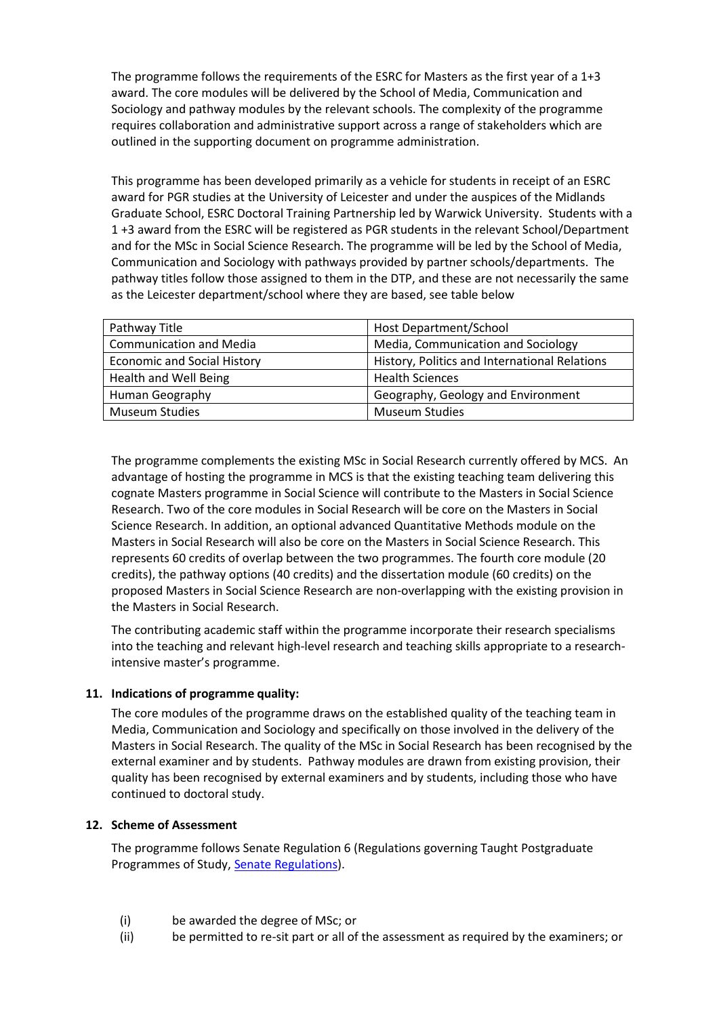The programme follows the requirements of the ESRC for Masters as the first year of a 1+3 award. The core modules will be delivered by the School of Media, Communication and Sociology and pathway modules by the relevant schools. The complexity of the programme requires collaboration and administrative support across a range of stakeholders which are outlined in the supporting document on programme administration.

This programme has been developed primarily as a vehicle for students in receipt of an ESRC award for PGR studies at the University of Leicester and under the auspices of the Midlands Graduate School, ESRC Doctoral Training Partnership led by Warwick University. Students with a 1 +3 award from the ESRC will be registered as PGR students in the relevant School/Department and for the MSc in Social Science Research. The programme will be led by the School of Media, Communication and Sociology with pathways provided by partner schools/departments. The pathway titles follow those assigned to them in the DTP, and these are not necessarily the same as the Leicester department/school where they are based, see table below

| Pathway Title                      | Host Department/School                        |
|------------------------------------|-----------------------------------------------|
| <b>Communication and Media</b>     | Media, Communication and Sociology            |
| <b>Economic and Social History</b> | History, Politics and International Relations |
| Health and Well Being              | <b>Health Sciences</b>                        |
| Human Geography                    | Geography, Geology and Environment            |
| <b>Museum Studies</b>              | <b>Museum Studies</b>                         |

The programme complements the existing MSc in Social Research currently offered by MCS. An advantage of hosting the programme in MCS is that the existing teaching team delivering this cognate Masters programme in Social Science will contribute to the Masters in Social Science Research. Two of the core modules in Social Research will be core on the Masters in Social Science Research. In addition, an optional advanced Quantitative Methods module on the Masters in Social Research will also be core on the Masters in Social Science Research. This represents 60 credits of overlap between the two programmes. The fourth core module (20 credits), the pathway options (40 credits) and the dissertation module (60 credits) on the proposed Masters in Social Science Research are non-overlapping with the existing provision in the Masters in Social Research.

The contributing academic staff within the programme incorporate their research specialisms into the teaching and relevant high-level research and teaching skills appropriate to a researchintensive master's programme.

### **11. Indications of programme quality:**

The core modules of the programme draws on the established quality of the teaching team in Media, Communication and Sociology and specifically on those involved in the delivery of the Masters in Social Research. The quality of the MSc in Social Research has been recognised by the external examiner and by students. Pathway modules are drawn from existing provision, their quality has been recognised by external examiners and by students, including those who have continued to doctoral study.

#### **12. Scheme of Assessment**

The programme follows Senate Regulation 6 (Regulations governing Taught Postgraduate Programmes of Study, [Senate Regulations\)](http://www2.le.ac.uk/offices/sas2/regulations/general-regulations-for-taught-programmes).

- (i) be awarded the degree of MSc; or
- (ii) be permitted to re-sit part or all of the assessment as required by the examiners; or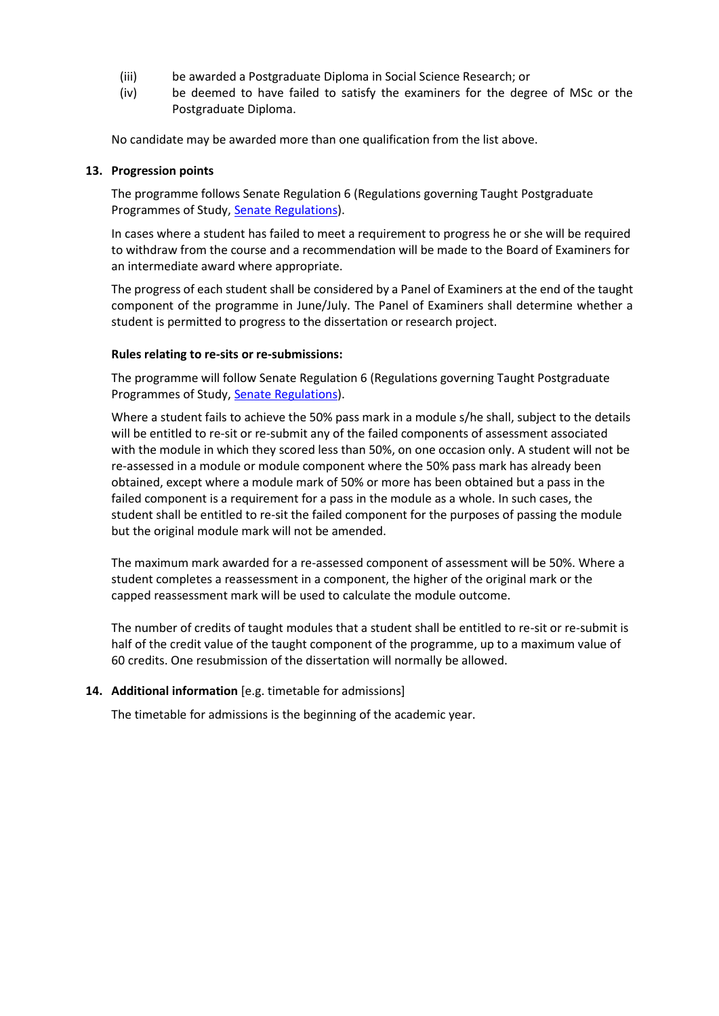- (iii) be awarded a Postgraduate Diploma in Social Science Research; or
- (iv) be deemed to have failed to satisfy the examiners for the degree of MSc or the Postgraduate Diploma.

No candidate may be awarded more than one qualification from the list above.

#### **13. Progression points**

The programme follows Senate Regulation 6 (Regulations governing Taught Postgraduate Programmes of Study, [Senate Regulations\)](http://www2.le.ac.uk/offices/sas2/regulations/general-regulations-for-taught-programmes).

In cases where a student has failed to meet a requirement to progress he or she will be required to withdraw from the course and a recommendation will be made to the Board of Examiners for an intermediate award where appropriate.

The progress of each student shall be considered by a Panel of Examiners at the end of the taught component of the programme in June/July. The Panel of Examiners shall determine whether a student is permitted to progress to the dissertation or research project.

### **Rules relating to re-sits or re-submissions:**

The programme will follow Senate Regulation 6 (Regulations governing Taught Postgraduate Programmes of Study, [Senate Regulations\)](http://www2.le.ac.uk/offices/sas2/regulations/general-regulations-for-taught-programmes).

Where a student fails to achieve the 50% pass mark in a module s/he shall, subject to the details will be entitled to re-sit or re-submit any of the failed components of assessment associated with the module in which they scored less than 50%, on one occasion only. A student will not be re-assessed in a module or module component where the 50% pass mark has already been obtained, except where a module mark of 50% or more has been obtained but a pass in the failed component is a requirement for a pass in the module as a whole. In such cases, the student shall be entitled to re-sit the failed component for the purposes of passing the module but the original module mark will not be amended.

The maximum mark awarded for a re-assessed component of assessment will be 50%. Where a student completes a reassessment in a component, the higher of the original mark or the capped reassessment mark will be used to calculate the module outcome.

The number of credits of taught modules that a student shall be entitled to re-sit or re-submit is half of the credit value of the taught component of the programme, up to a maximum value of 60 credits. One resubmission of the dissertation will normally be allowed.

### **14. Additional information** [e.g. timetable for admissions]

The timetable for admissions is the beginning of the academic year.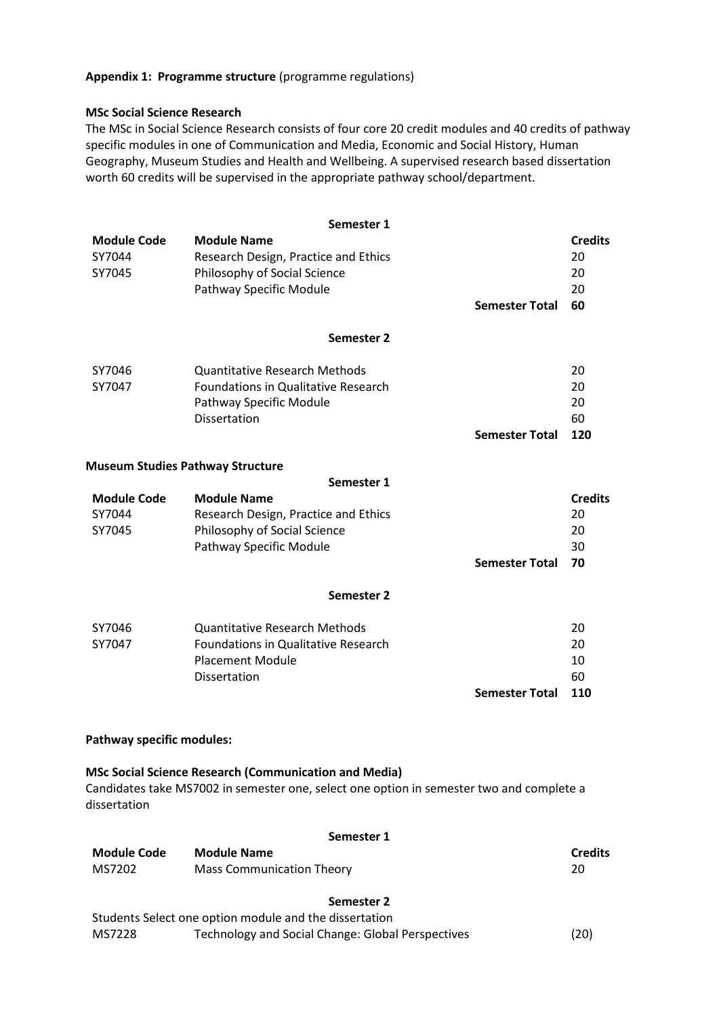### **Appendix 1: Programme structure** (programme regulations)

#### **MSc Social Science Research**

The MSc in Social Science Research consists of four core 20 credit modules and 40 credits of pathway specific modules in one of Communication and Media, Economic and Social History, Human Geography, Museum Studies and Health and Wellbeing. A supervised research based dissertation worth 60 credits will be supervised in the appropriate pathway school/department.

| <b>Module Code</b><br>SY7044<br>SY7045  | Semester 1<br><b>Module Name</b><br>Research Design, Practice and Ethics<br>Philosophy of Social Science<br>Pathway Specific Module | <b>Semester Total</b> | <b>Credits</b><br>20<br>20<br>20<br>60 |
|-----------------------------------------|-------------------------------------------------------------------------------------------------------------------------------------|-----------------------|----------------------------------------|
|                                         | Semester 2                                                                                                                          |                       |                                        |
| SY7046<br>SY7047                        | <b>Quantitative Research Methods</b><br>Foundations in Qualitative Research<br>Pathway Specific Module<br><b>Dissertation</b>       | <b>Semester Total</b> | 20<br>20<br>20<br>60<br>120            |
| <b>Museum Studies Pathway Structure</b> |                                                                                                                                     |                       |                                        |
| <b>Module Code</b><br>SY7044<br>SY7045  | Semester 1<br><b>Module Name</b><br>Research Design, Practice and Ethics<br>Philosophy of Social Science<br>Pathway Specific Module | <b>Semester Total</b> | <b>Credits</b><br>20<br>20<br>30<br>70 |
|                                         | Semester 2                                                                                                                          |                       |                                        |
| SY7046<br>SY7047                        | <b>Quantitative Research Methods</b><br>Foundations in Qualitative Research<br><b>Placement Module</b><br><b>Dissertation</b>       | <b>Semester Total</b> | 20<br>20<br>10<br>60<br>110            |

### **Pathway specific modules:**

### **MSc Social Science Research (Communication and Media)**

Candidates take MS7002 in semester one, select one option in semester two and complete a dissertation

#### **Semester 1**

| <b>Module Code</b> | <b>Module Name</b>        | <b>Credits</b> |
|--------------------|---------------------------|----------------|
| MS7202             | Mass Communication Theory | 20             |
|                    |                           |                |

#### **Semester 2**

|        | Students Select one option module and the dissertation |      |
|--------|--------------------------------------------------------|------|
| MS7228 | Technology and Social Change: Global Perspectives      | (20) |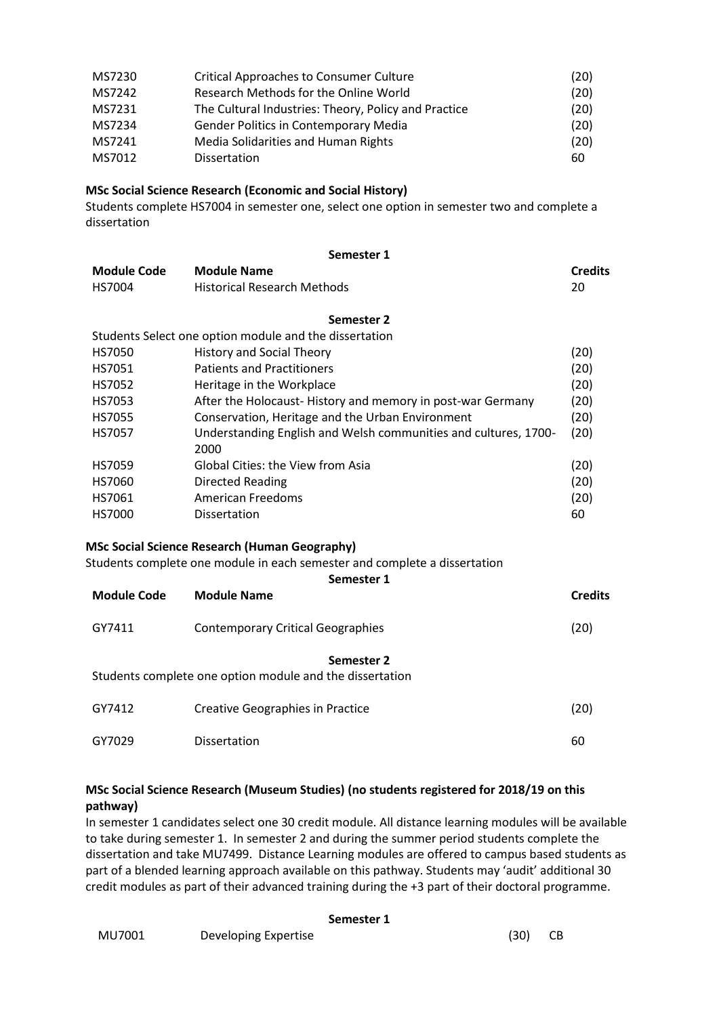| MS7230 | <b>Critical Approaches to Consumer Culture</b>       | (20) |
|--------|------------------------------------------------------|------|
| MS7242 | Research Methods for the Online World                | (20) |
| MS7231 | The Cultural Industries: Theory, Policy and Practice | (20) |
| MS7234 | <b>Gender Politics in Contemporary Media</b>         | (20) |
| MS7241 | Media Solidarities and Human Rights                  | (20) |
| MS7012 | <b>Dissertation</b>                                  | 60   |

### **MSc Social Science Research (Economic and Social History)**

Students complete HS7004 in semester one, select one option in semester two and complete a dissertation

|                    | Semester 1                                                                |                |
|--------------------|---------------------------------------------------------------------------|----------------|
| <b>Module Code</b> | <b>Module Name</b>                                                        | <b>Credits</b> |
| HS7004             | <b>Historical Research Methods</b>                                        | 20             |
|                    | Semester 2                                                                |                |
|                    | Students Select one option module and the dissertation                    |                |
| <b>HS7050</b>      | <b>History and Social Theory</b>                                          | (20)           |
| HS7051             | <b>Patients and Practitioners</b>                                         | (20)           |
| HS7052             | Heritage in the Workplace                                                 | (20)           |
| HS7053             | After the Holocaust-History and memory in post-war Germany                | (20)           |
| <b>HS7055</b>      | Conservation, Heritage and the Urban Environment                          | (20)           |
| HS7057             | Understanding English and Welsh communities and cultures, 1700-           | (20)           |
|                    | 2000                                                                      |                |
| HS7059             | <b>Global Cities: the View from Asia</b>                                  | (20)           |
| HS7060             | Directed Reading                                                          | (20)           |
| HS7061             | <b>American Freedoms</b>                                                  | (20)           |
| HS7000             | Dissertation                                                              | 60             |
|                    |                                                                           |                |
|                    | <b>MSc Social Science Research (Human Geography)</b>                      |                |
|                    | Students complete one module in each semester and complete a dissertation |                |
|                    | Semester 1                                                                |                |
| <b>Module Code</b> | <b>Module Name</b>                                                        | <b>Credits</b> |
| GY7411             | <b>Contemporary Critical Geographies</b>                                  | (20)           |
|                    | Semester 2                                                                |                |
|                    | Students complete one option module and the dissertation                  |                |
| GY7412             | <b>Creative Geographies in Practice</b>                                   | (20)           |
| GY7029             | <b>Dissertation</b>                                                       | 60             |

### **MSc Social Science Research (Museum Studies) (no students registered for 2018/19 on this pathway)**

In semester 1 candidates select one 30 credit module. All distance learning modules will be available to take during semester 1. In semester 2 and during the summer period students complete the dissertation and take MU7499. Distance Learning modules are offered to campus based students as part of a blended learning approach available on this pathway. Students may 'audit' additional 30 credit modules as part of their advanced training during the +3 part of their doctoral programme.

#### **Semester 1**

| MU7001 | Developing Expertise | (30) | CB |
|--------|----------------------|------|----|
|--------|----------------------|------|----|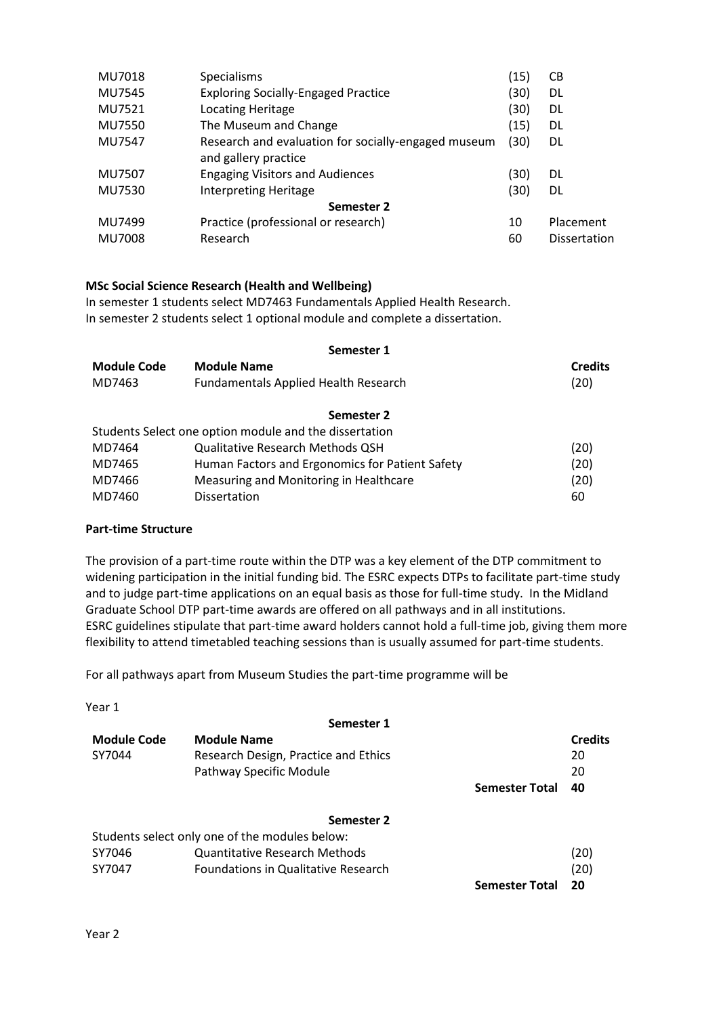| MU7018        | <b>Specialisms</b>                                                          | (15) | СB           |  |
|---------------|-----------------------------------------------------------------------------|------|--------------|--|
| MU7545        | <b>Exploring Socially-Engaged Practice</b>                                  | (30) | DL           |  |
| MU7521        | Locating Heritage                                                           | (30) | DL           |  |
| MU7550        | The Museum and Change                                                       | (15) | DL           |  |
| MU7547        | Research and evaluation for socially-engaged museum<br>and gallery practice | (30) | DL.          |  |
| MU7507        | <b>Engaging Visitors and Audiences</b>                                      | (30) | DL           |  |
| MU7530        | <b>Interpreting Heritage</b>                                                | (30) | DL.          |  |
| Semester 2    |                                                                             |      |              |  |
| MU7499        | Practice (professional or research)                                         | 10   | Placement    |  |
| <b>MU7008</b> | Research                                                                    | 60   | Dissertation |  |
|               |                                                                             |      |              |  |

### **MSc Social Science Research (Health and Wellbeing)**

In semester 1 students select MD7463 Fundamentals Applied Health Research. In semester 2 students select 1 optional module and complete a dissertation.

#### **Semester 1**

| <b>Module Code</b> | <b>Module Name</b>                                     | <b>Credits</b> |
|--------------------|--------------------------------------------------------|----------------|
| MD7463             | <b>Fundamentals Applied Health Research</b>            | (20)           |
|                    | Semester 2                                             |                |
|                    | Students Select one option module and the dissertation |                |
| MD7464             | <b>Qualitative Research Methods QSH</b>                | (20)           |
| MD7465             | Human Factors and Ergonomics for Patient Safety        | (20)           |
| MD7466             | Measuring and Monitoring in Healthcare                 | (20)           |
| MD7460             | <b>Dissertation</b>                                    | 60             |

#### **Part-time Structure**

The provision of a part-time route within the DTP was a key element of the DTP commitment to widening participation in the initial funding bid. The ESRC expects DTPs to facilitate part-time study and to judge part-time applications on an equal basis as those for full-time study. In the Midland Graduate School DTP part-time awards are offered on all pathways and in all institutions. ESRC guidelines stipulate that part-time award holders cannot hold a full-time job, giving them more flexibility to attend timetabled teaching sessions than is usually assumed for part-time students.

For all pathways apart from Museum Studies the part-time programme will be

| ×<br>. .<br>۰.<br>× |
|---------------------|
|---------------------|

|             | Semester 1                                     |                       |                |
|-------------|------------------------------------------------|-----------------------|----------------|
| Module Code | <b>Module Name</b>                             |                       | <b>Credits</b> |
| SY7044      | Research Design, Practice and Ethics           |                       | 20             |
|             | Pathway Specific Module                        |                       | 20             |
|             |                                                | <b>Semester Total</b> | 40             |
|             | Semester 2                                     |                       |                |
|             | Students select only one of the modules below: |                       |                |
| SY7046      | <b>Quantitative Research Methods</b>           |                       | (20)           |
| SY7047      | Foundations in Qualitative Research            |                       | (20)           |
|             |                                                | <b>Semester Total</b> | 20             |